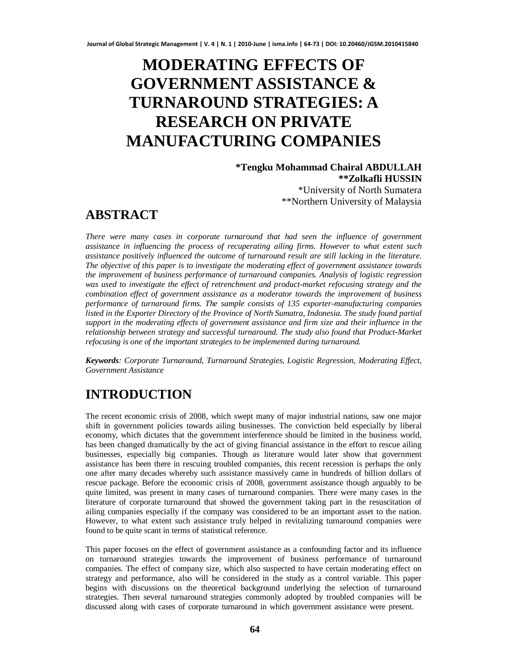# **MODERATING EFFECTS OF GOVERNMENT ASSISTANCE & TURNAROUND STRATEGIES: A RESEARCH ON PRIVATE MANUFACTURING COMPANIES**

**\*Tengku Mohammad Chairal ABDULLAH \*\*Zolkafli HUSSIN** \*University of North Sumatera \*\*Northern University of Malaysia

# **ABSTRACT**

*There were many cases in corporate turnaround that had seen the influence of government assistance in influencing the process of recuperating ailing firms. However to what extent such assistance positively influenced the outcome of turnaround result are still lacking in the literature. The objective of this paper is to investigate the moderating effect of government assistance towards the improvement of business performance of turnaround companies. Analysis of logistic regression was used to investigate the effect of retrenchment and product-market refocusing strategy and the combination effect of government assistance as a moderator towards the improvement of business performance of turnaround firms. The sample consists of 135 exporter-manufacturing companies listed in the Exporter Directory of the Province of North Sumatra, Indonesia. The study found partial support in the moderating effects of government assistance and firm size and their influence in the relationship between strategy and successful turnaround. The study also found that Product-Market refocusing is one of the important strategies to be implemented during turnaround.*

*Keywords: Corporate Turnaround, Turnaround Strategies, Logistic Regression, Moderating Effect, Government Assistance*

# **INTRODUCTION**

The recent economic crisis of 2008, which swept many of major industrial nations, saw one major shift in government policies towards ailing businesses. The conviction held especially by liberal economy, which dictates that the government interference should be limited in the business world, has been changed dramatically by the act of giving financial assistance in the effort to rescue ailing businesses, especially big companies. Though as literature would later show that government assistance has been there in rescuing troubled companies, this recent recession is perhaps the only one after many decades whereby such assistance massively came in hundreds of billion dollars of rescue package. Before the economic crisis of 2008, government assistance though arguably to be quite limited, was present in many cases of turnaround companies. There were many cases in the literature of corporate turnaround that showed the government taking part in the resuscitation of ailing companies especially if the company was considered to be an important asset to the nation. However, to what extent such assistance truly helped in revitalizing turnaround companies were found to be quite scant in terms of statistical reference.

This paper focuses on the effect of government assistance as a confounding factor and its influence on turnaround strategies towards the improvement of business performance of turnaround companies. The effect of company size, which also suspected to have certain moderating effect on strategy and performance, also will be considered in the study as a control variable. This paper begins with discussions on the theoretical background underlying the selection of turnaround strategies. Then several turnaround strategies commonly adopted by troubled companies will be discussed along with cases of corporate turnaround in which government assistance were present.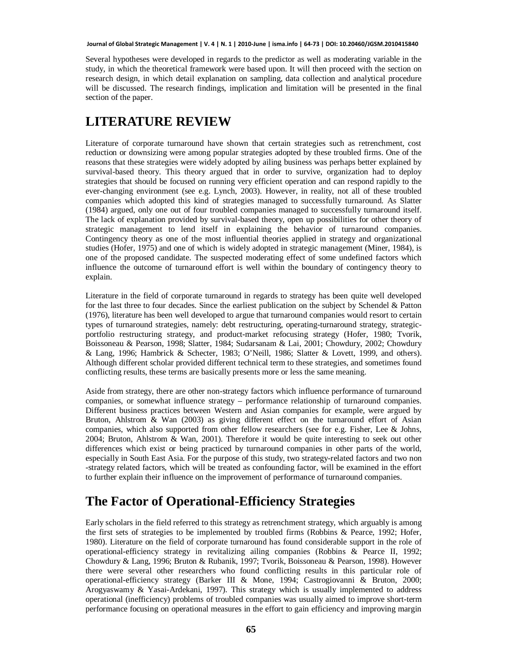Several hypotheses were developed in regards to the predictor as well as moderating variable in the study, in which the theoretical framework were based upon. It will then proceed with the section on research design, in which detail explanation on sampling, data collection and analytical procedure will be discussed. The research findings, implication and limitation will be presented in the final section of the paper.

### **LITERATURE REVIEW**

Literature of corporate turnaround have shown that certain strategies such as retrenchment, cost reduction or downsizing were among popular strategies adopted by these troubled firms. One of the reasons that these strategies were widely adopted by ailing business was perhaps better explained by survival-based theory. This theory argued that in order to survive, organization had to deploy strategies that should be focused on running very efficient operation and can respond rapidly to the ever-changing environment (see e.g. Lynch, 2003). However, in reality, not all of these troubled companies which adopted this kind of strategies managed to successfully turnaround. As Slatter (1984) argued, only one out of four troubled companies managed to successfully turnaround itself. The lack of explanation provided by survival-based theory, open up possibilities for other theory of strategic management to lend itself in explaining the behavior of turnaround companies. Contingency theory as one of the most influential theories applied in strategy and organizational studies (Hofer, 1975) and one of which is widely adopted in strategic management (Miner, 1984), is one of the proposed candidate. The suspected moderating effect of some undefined factors which influence the outcome of turnaround effort is well within the boundary of contingency theory to explain.

Literature in the field of corporate turnaround in regards to strategy has been quite well developed for the last three to four decades. Since the earliest publication on the subject by Schendel & Patton (1976), literature has been well developed to argue that turnaround companies would resort to certain types of turnaround strategies, namely: debt restructuring, operating-turnaround strategy, strategicportfolio restructuring strategy, and product-market refocusing strategy (Hofer, 1980; Tvorik, Boissoneau & Pearson, 1998; Slatter, 1984; Sudarsanam & Lai, 2001; Chowdury, 2002; Chowdury & Lang, 1996; Hambrick & Schecter, 1983; O'Neill, 1986; Slatter & Lovett, 1999, and others). Although different scholar provided different technical term to these strategies, and sometimes found conflicting results, these terms are basically presents more or less the same meaning.

Aside from strategy, there are other non-strategy factors which influence performance of turnaround companies, or somewhat influence strategy – performance relationship of turnaround companies. Different business practices between Western and Asian companies for example, were argued by Bruton, Ahlstrom & Wan (2003) as giving different effect on the turnaround effort of Asian companies, which also supported from other fellow researchers (see for e.g. Fisher, Lee & Johns, 2004; Bruton, Ahlstrom & Wan, 2001). Therefore it would be quite interesting to seek out other differences which exist or being practiced by turnaround companies in other parts of the world, especially in South East Asia. For the purpose of this study, two strategy-related factors and two non -strategy related factors, which will be treated as confounding factor, will be examined in the effort to further explain their influence on the improvement of performance of turnaround companies.

### **The Factor of Operational-Efficiency Strategies**

Early scholars in the field referred to this strategy as retrenchment strategy, which arguably is among the first sets of strategies to be implemented by troubled firms (Robbins & Pearce, 1992; Hofer, 1980). Literature on the field of corporate turnaround has found considerable support in the role of operational-efficiency strategy in revitalizing ailing companies (Robbins & Pearce II, 1992; Chowdury & Lang, 1996; Bruton & Rubanik, 1997; Tvorik, Boissoneau & Pearson, 1998). However there were several other researchers who found conflicting results in this particular role of operational-efficiency strategy (Barker III & Mone, 1994; Castrogiovanni & Bruton, 2000; Arogyaswamy & Yasai-Ardekani, 1997). This strategy which is usually implemented to address operational (inefficiency) problems of troubled companies was usually aimed to improve short-term performance focusing on operational measures in the effort to gain efficiency and improving margin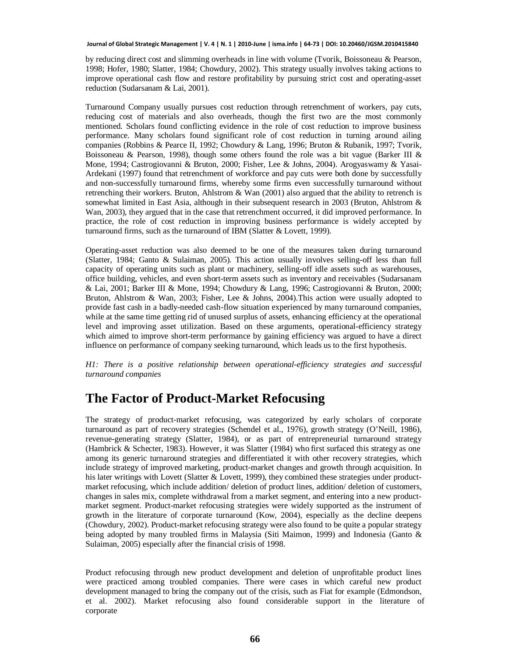by reducing direct cost and slimming overheads in line with volume (Tvorik, Boissoneau & Pearson, 1998; Hofer, 1980; Slatter, 1984; Chowdury, 2002). This strategy usually involves taking actions to improve operational cash flow and restore profitability by pursuing strict cost and operating-asset reduction (Sudarsanam & Lai, 2001).

Turnaround Company usually pursues cost reduction through retrenchment of workers, pay cuts, reducing cost of materials and also overheads, though the first two are the most commonly mentioned. Scholars found conflicting evidence in the role of cost reduction to improve business performance. Many scholars found significant role of cost reduction in turning around ailing companies (Robbins & Pearce II, 1992; Chowdury & Lang, 1996; Bruton & Rubanik, 1997; Tvorik, Boissoneau & Pearson, 1998), though some others found the role was a bit vague (Barker III & Mone, 1994; Castrogiovanni & Bruton, 2000; Fisher, Lee & Johns, 2004). Arogyaswamy & Yasai-Ardekani (1997) found that retrenchment of workforce and pay cuts were both done by successfully and non-successfully turnaround firms, whereby some firms even successfully turnaround without retrenching their workers. Bruton, Ahlstrom & Wan (2001) also argued that the ability to retrench is somewhat limited in East Asia, although in their subsequent research in 2003 (Bruton, Ahlstrom & Wan, 2003), they argued that in the case that retrenchment occurred, it did improved performance. In practice, the role of cost reduction in improving business performance is widely accepted by turnaround firms, such as the turnaround of IBM (Slatter & Lovett, 1999).

Operating-asset reduction was also deemed to be one of the measures taken during turnaround (Slatter, 1984; Ganto & Sulaiman, 2005). This action usually involves selling-off less than full capacity of operating units such as plant or machinery, selling-off idle assets such as warehouses, office building, vehicles, and even short-term assets such as inventory and receivables (Sudarsanam & Lai, 2001; Barker III & Mone, 1994; Chowdury & Lang, 1996; Castrogiovanni & Bruton, 2000; Bruton, Ahlstrom & Wan, 2003; Fisher, Lee & Johns, 2004).This action were usually adopted to provide fast cash in a badly-needed cash-flow situation experienced by many turnaround companies, while at the same time getting rid of unused surplus of assets, enhancing efficiency at the operational level and improving asset utilization. Based on these arguments, operational-efficiency strategy which aimed to improve short-term performance by gaining efficiency was argued to have a direct influence on performance of company seeking turnaround, which leads us to the first hypothesis.

*H1: There is a positive relationship between operational-efficiency strategies and successful turnaround companies*

### **The Factor of Product-Market Refocusing**

The strategy of product-market refocusing, was categorized by early scholars of corporate turnaround as part of recovery strategies (Schendel et al., 1976), growth strategy (O'Neill, 1986), revenue-generating strategy (Slatter, 1984), or as part of entrepreneurial turnaround strategy (Hambrick & Schecter, 1983). However, it was Slatter (1984) who first surfaced this strategy as one among its generic turnaround strategies and differentiated it with other recovery strategies, which include strategy of improved marketing, product-market changes and growth through acquisition. In his later writings with Lovett (Slatter & Lovett, 1999), they combined these strategies under productmarket refocusing, which include addition/ deletion of product lines, addition/ deletion of customers, changes in sales mix, complete withdrawal from a market segment, and entering into a new productmarket segment. Product-market refocusing strategies were widely supported as the instrument of growth in the literature of corporate turnaround (Kow, 2004), especially as the decline deepens (Chowdury, 2002). Product-market refocusing strategy were also found to be quite a popular strategy being adopted by many troubled firms in Malaysia (Siti Maimon, 1999) and Indonesia (Ganto & Sulaiman, 2005) especially after the financial crisis of 1998.

Product refocusing through new product development and deletion of unprofitable product lines were practiced among troubled companies. There were cases in which careful new product development managed to bring the company out of the crisis, such as Fiat for example (Edmondson, et al. 2002). Market refocusing also found considerable support in the literature of corporate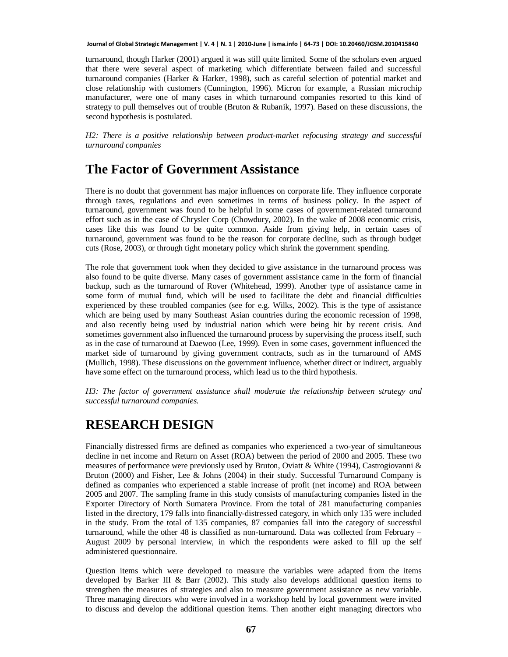turnaround, though Harker (2001) argued it was still quite limited. Some of the scholars even argued that there were several aspect of marketing which differentiate between failed and successful turnaround companies (Harker & Harker, 1998), such as careful selection of potential market and close relationship with customers (Cunnington, 1996). Micron for example, a Russian microchip manufacturer, were one of many cases in which turnaround companies resorted to this kind of strategy to pull themselves out of trouble (Bruton & Rubanik, 1997). Based on these discussions, the second hypothesis is postulated.

*H2: There is a positive relationship between product-market refocusing strategy and successful turnaround companies*

### **The Factor of Government Assistance**

There is no doubt that government has major influences on corporate life. They influence corporate through taxes, regulations and even sometimes in terms of business policy. In the aspect of turnaround, government was found to be helpful in some cases of government-related turnaround effort such as in the case of Chrysler Corp (Chowdury, 2002). In the wake of 2008 economic crisis, cases like this was found to be quite common. Aside from giving help, in certain cases of turnaround, government was found to be the reason for corporate decline, such as through budget cuts (Rose, 2003), or through tight monetary policy which shrink the government spending.

The role that government took when they decided to give assistance in the turnaround process was also found to be quite diverse. Many cases of government assistance came in the form of financial backup, such as the turnaround of Rover (Whitehead, 1999). Another type of assistance came in some form of mutual fund, which will be used to facilitate the debt and financial difficulties experienced by these troubled companies (see for e.g. Wilks, 2002). This is the type of assistance which are being used by many Southeast Asian countries during the economic recession of 1998, and also recently being used by industrial nation which were being hit by recent crisis. And sometimes government also influenced the turnaround process by supervising the process itself, such as in the case of turnaround at Daewoo (Lee, 1999). Even in some cases, government influenced the market side of turnaround by giving government contracts, such as in the turnaround of AMS (Mullich, 1998). These discussions on the government influence, whether direct or indirect, arguably have some effect on the turnaround process, which lead us to the third hypothesis.

*H3: The factor of government assistance shall moderate the relationship between strategy and successful turnaround companies.*

### **RESEARCH DESIGN**

Financially distressed firms are defined as companies who experienced a two-year of simultaneous decline in net income and Return on Asset (ROA) between the period of 2000 and 2005. These two measures of performance were previously used by Bruton, Oviatt & White (1994), Castrogiovanni & Bruton (2000) and Fisher, Lee & Johns (2004) in their study. Successful Turnaround Company is defined as companies who experienced a stable increase of profit (net income) and ROA between 2005 and 2007. The sampling frame in this study consists of manufacturing companies listed in the Exporter Directory of North Sumatera Province. From the total of 281 manufacturing companies listed in the directory, 179 falls into financially-distressed category, in which only 135 were included in the study. From the total of 135 companies, 87 companies fall into the category of successful turnaround, while the other 48 is classified as non-turnaround. Data was collected from February – August 2009 by personal interview, in which the respondents were asked to fill up the self administered questionnaire.

Question items which were developed to measure the variables were adapted from the items developed by Barker III & Barr (2002). This study also develops additional question items to strengthen the measures of strategies and also to measure government assistance as new variable. Three managing directors who were involved in a workshop held by local government were invited to discuss and develop the additional question items. Then another eight managing directors who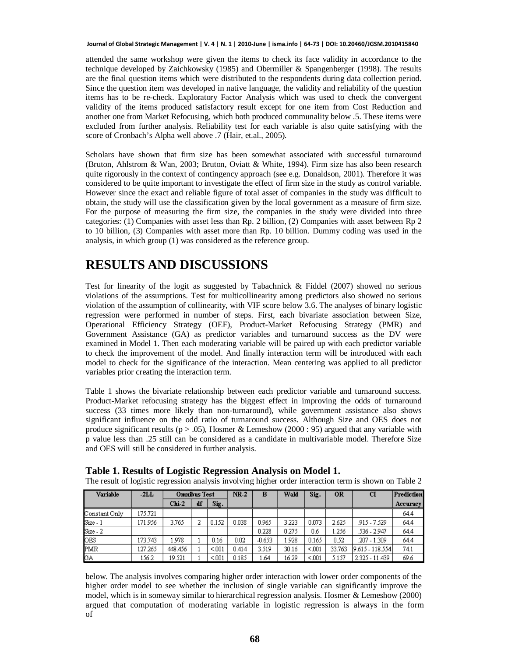attended the same workshop were given the items to check its face validity in accordance to the technique developed by Zaichkowsky (1985) and Obermiller & Spangenberger (1998). The results are the final question items which were distributed to the respondents during data collection period. Since the question item was developed in native language, the validity and reliability of the question items has to be re-check. Exploratory Factor Analysis which was used to check the convergent validity of the items produced satisfactory result except for one item from Cost Reduction and another one from Market Refocusing, which both produced communality below .5. These items were excluded from further analysis. Reliability test for each variable is also quite satisfying with the score of Cronbach's Alpha well above .7 (Hair, et.al., 2005).

Scholars have shown that firm size has been somewhat associated with successful turnaround (Bruton, Ahlstrom & Wan, 2003; Bruton, Oviatt & White, 1994). Firm size has also been research quite rigorously in the context of contingency approach (see e.g. Donaldson, 2001). Therefore it was considered to be quite important to investigate the effect of firm size in the study as control variable. However since the exact and reliable figure of total asset of companies in the study was difficult to obtain, the study will use the classification given by the local government as a measure of firm size. For the purpose of measuring the firm size, the companies in the study were divided into three categories: (1) Companies with asset less than Rp. 2 billion, (2) Companies with asset between Rp 2 to 10 billion, (3) Companies with asset more than Rp. 10 billion. Dummy coding was used in the analysis, in which group (1) was considered as the reference group.

### **RESULTS AND DISCUSSIONS**

Test for linearity of the logit as suggested by Tabachnick & Fiddel (2007) showed no serious violations of the assumptions. Test for multicollinearity among predictors also showed no serious violation of the assumption of collinearity, with VIF score below 3.6. The analyses of binary logistic regression were performed in number of steps. First, each bivariate association between Size, Operational Efficiency Strategy (OEF), Product-Market Refocusing Strategy (PMR) and Government Assistance (GA) as predictor variables and turnaround success as the DV were examined in Model 1. Then each moderating variable will be paired up with each predictor variable to check the improvement of the model. And finally interaction term will be introduced with each model to check for the significance of the interaction. Mean centering was applied to all predictor variables prior creating the interaction term.

Table 1 shows the bivariate relationship between each predictor variable and turnaround success. Product-Market refocusing strategy has the biggest effect in improving the odds of turnaround success (33 times more likely than non-turnaround), while government assistance also shows significant influence on the odd ratio of turnaround success. Although Size and OES does not produce significant results ( $p > .05$ ), Hosmer & Lemeshow (2000 : 95) argued that any variable with p value less than .25 still can be considered as a candidate in multivariable model. Therefore Size and OES will still be considered in further analysis.

| Variable      | $-2LL$  | Omnibus Test |    |       | $NR-2$ | в        | Wald  | Sig.  | <b>OR</b> | CI               | Prediction |
|---------------|---------|--------------|----|-------|--------|----------|-------|-------|-----------|------------------|------------|
|               |         | $Chi-2$      | df | Sig.  |        |          |       |       |           |                  | Accuracy   |
| Constant Only | 175.721 |              |    |       |        |          |       |       |           |                  | 64.4       |
| Size - 1      | 171.956 | 3.765        |    | 0.152 | 0.038  | 0.965    | 3.223 | 0.073 | 2.625     | 915 - 7.529      | 64.4       |
| Size - 2      |         |              |    |       |        | 0.228    | 0.275 | 0.6   | 1.256     | .536 - 2.947     | 64.4       |
| OES           | 173.743 | .978         |    | 0.16  | 0.02   | $-0.653$ | 1.928 | 0.165 | 0.52      | .207 - 1.309     | 64.4       |
| <b>PMR</b>    | 127.265 | 448.456      |    | < 001 | 0.414  | 3.519    | 30.16 | < 001 | 33.763    | 19.615 - 118.554 | 74.1       |
| GA            | 156.2   | 19.521       |    | < 001 | 0.185  | .64      | 16.29 | < 001 | 5.157     | 2.325 - 11.439   | 69.6       |

The result of logistic regression analysis involving higher order interaction term is shown on Table 2

**Table 1. Results of Logistic Regression Analysis on Model 1.**

below. The analysis involves comparing higher order interaction with lower order components of the higher order model to see whether the inclusion of single variable can significantly improve the model, which is in someway similar to hierarchical regression analysis. Hosmer & Lemeshow (2000) argued that computation of moderating variable in logistic regression is always in the form of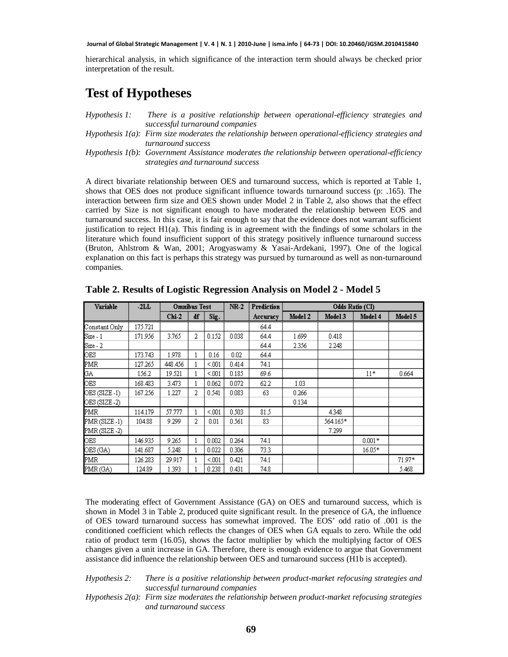hierarchical analysis, in which significance of the interaction term should always be checked prior interpretation of the result.

### **Test of Hypotheses**

| $H$ <i>vpothesis</i> $l$ : | There is a positive relationship between operational-efficiency strategies and                         |
|----------------------------|--------------------------------------------------------------------------------------------------------|
|                            | successful turnaround companies                                                                        |
|                            | Hypothesis $I(a)$ : Firm size moderates the relationship between operational-efficiency strategies and |
|                            | turnaround success                                                                                     |
|                            | Hypothesis 1(b): Government Assistance moderates the relationship between operational-efficiency       |
|                            | strategies and turnaround success                                                                      |

A direct bivariate relationship between OES and turnaround success, which is reported at Table 1, shows that OES does not produce significant influence towards turnaround success (p: .165). The interaction between firm size and OES shown under Model 2 in Table 2, also shows that the effect carried by Size is not significant enough to have moderated the relationship between EOS and turnaround success. In this case, it is fair enough to say that the evidence does not warrant sufficient justification to reject H1(a). This finding is in agreement with the findings of some scholars in the literature which found insufficient support of this strategy positively influence turnaround success (Bruton, Ahlstrom & Wan, 2001; Arogyaswamy & Yasai-Ardekani, 1997). One of the logical explanation on this fact is perhaps this strategy was pursued by turnaround as well as non-turnaround companies.

| Variable          | $-2LL$  | Omnibus Test |   |        | $NR-2$ | Prediction | Odds Ratio (CI) |          |          |         |
|-------------------|---------|--------------|---|--------|--------|------------|-----------------|----------|----------|---------|
|                   |         | Chi-2        | ď | Sig.   |        | Accuracy   | Model 2         | Model 3  | Model 4  | Model 5 |
| Constant Only     | 175.721 |              |   |        |        | 64.4       |                 |          |          |         |
| $Size - 1$        | 171.956 | 3.765        | 2 | 0.152  | 0.038  | 64.4       | 1.699           | 0.418    |          |         |
| $Size - 2$        |         |              |   |        |        | 64.4       | 2.356           | 2.248    |          |         |
| OES<br>PMR        | 173.743 | 1.978        |   | 0.16   | 0.02   | 64.4       |                 |          |          |         |
|                   | 127.265 | 448.456      |   | < 001  | 0.414  | 74.1       |                 |          |          |         |
|                   | 156.2   | 19.521       |   | < 0.01 | 0.185  | 69.6       |                 |          | $11*$    | 0.664   |
| $\frac{G A}{G B}$ | 168.483 | 3.473        |   | 0.062  | 0.072  | 62.2       | 1.03            |          |          |         |
| OES (SIZE-1)      | 167.256 | 1.227        | 2 | 0.541  | 0.083  | 63         | 0.266           |          |          |         |
| OES (SIZE-2)      |         |              |   |        |        |            | 0.134           |          |          |         |
| <b>PMR</b>        | 114.179 | 57.777       |   | < 001  | 0.503  | 81.5       |                 | 4.348    |          |         |
| PMR (SIZE-1)      | 104.88  | 9.299        | 2 | 0.01   | 0.561  | 83         |                 | 564.165* |          |         |
| PMR (SIZE-2)      |         |              |   |        |        |            |                 | 7.299    |          |         |
| OES               | 146.935 | 9.265        |   | 0.002  | 0.264  | 74.1       |                 |          | $0.001*$ |         |
| OES (GA)          | 141.687 | 5.248        |   | 0.022  | 0.306  | 73.3       |                 |          | $16.05*$ |         |
| <b>PMR</b>        | 126.283 | 29.917       |   | < 001  | 0.421  | 74.1       |                 |          |          | 71.97*  |
| PMR(GA)           | 124.89  | 1.393        |   | 0.238  | 0.431  | 74.8       |                 |          |          | 5.468   |

**Table 2. Results of Logistic Regression Analysis on Model 2 - Model 5**

The moderating effect of Government Assistance (GA) on OES and turnaround success, which is shown in Model 3 in Table 2, produced quite significant result. In the presence of GA, the influence of OES toward turnaround success has somewhat improved. The EOS' odd ratio of .001 is the conditioned coefficient which reflects the changes of OES when GA equals to zero. While the odd ratio of product term (16.05), shows the factor multiplier by which the multiplying factor of OES changes given a unit increase in GA. Therefore, there is enough evidence to argue that Government assistance did influence the relationship between OES and turnaround success (H1b is accepted).

#### *Hypothesis 2: There is a positive relationship between product-market refocusing strategies and successful turnaround companies*

*Hypothesis 2(a): Firm size moderates the relationship between product-market refocusing strategies and turnaround success*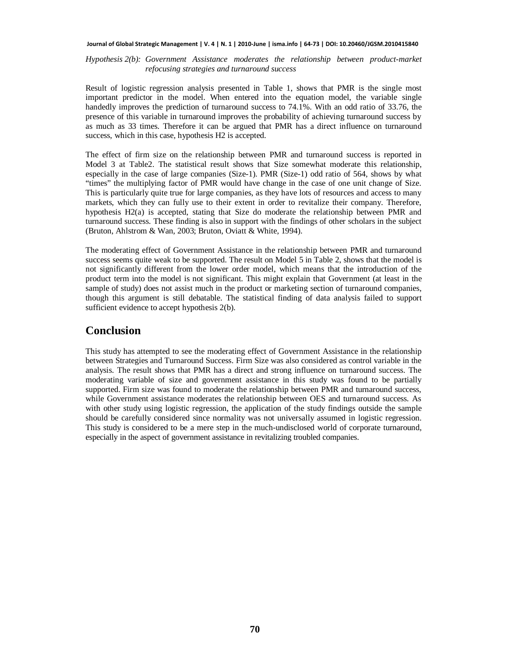*Hypothesis 2(b): Government Assistance moderates the relationship between product-market refocusing strategies and turnaround success*

Result of logistic regression analysis presented in Table 1, shows that PMR is the single most important predictor in the model. When entered into the equation model, the variable single handedly improves the prediction of turnaround success to 74.1%. With an odd ratio of 33.76, the presence of this variable in turnaround improves the probability of achieving turnaround success by as much as 33 times. Therefore it can be argued that PMR has a direct influence on turnaround success, which in this case, hypothesis H2 is accepted.

The effect of firm size on the relationship between PMR and turnaround success is reported in Model 3 at Table2. The statistical result shows that Size somewhat moderate this relationship, especially in the case of large companies (Size-1). PMR (Size-1) odd ratio of 564, shows by what "times" the multiplying factor of PMR would have change in the case of one unit change of Size. This is particularly quite true for large companies, as they have lots of resources and access to many markets, which they can fully use to their extent in order to revitalize their company. Therefore, hypothesis H2(a) is accepted, stating that Size do moderate the relationship between PMR and turnaround success. These finding is also in support with the findings of other scholars in the subject (Bruton, Ahlstrom & Wan, 2003; Bruton, Oviatt & White, 1994).

The moderating effect of Government Assistance in the relationship between PMR and turnaround success seems quite weak to be supported. The result on Model 5 in Table 2, shows that the model is not significantly different from the lower order model, which means that the introduction of the product term into the model is not significant. This might explain that Government (at least in the sample of study) does not assist much in the product or marketing section of turnaround companies, though this argument is still debatable. The statistical finding of data analysis failed to support sufficient evidence to accept hypothesis 2(b).

#### **Conclusion**

This study has attempted to see the moderating effect of Government Assistance in the relationship between Strategies and Turnaround Success. Firm Size was also considered as control variable in the analysis. The result shows that PMR has a direct and strong influence on turnaround success. The moderating variable of size and government assistance in this study was found to be partially supported. Firm size was found to moderate the relationship between PMR and turnaround success, while Government assistance moderates the relationship between OES and turnaround success. As with other study using logistic regression, the application of the study findings outside the sample should be carefully considered since normality was not universally assumed in logistic regression. This study is considered to be a mere step in the much-undisclosed world of corporate turnaround, especially in the aspect of government assistance in revitalizing troubled companies.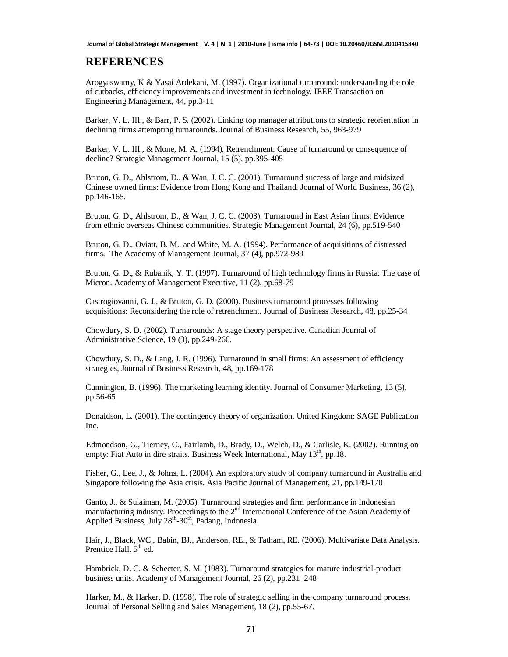#### **REFERENCES**

Arogyaswamy, K & Yasai Ardekani, M. (1997). Organizational turnaround: understanding the role of cutbacks, efficiency improvements and investment in technology. IEEE Transaction on Engineering Management, 44, pp.3-11

Barker, V. L. III., & Barr, P. S. (2002). Linking top manager attributions to strategic reorientation in declining firms attempting turnarounds. Journal of Business Research, 55, 963-979

Barker, V. L. III., & Mone, M. A. (1994). Retrenchment: Cause of turnaround or consequence of decline? Strategic Management Journal, 15 (5), pp.395-405

Bruton, G. D., Ahlstrom, D., & Wan, J. C. C. (2001). Turnaround success of large and midsized Chinese owned firms: Evidence from Hong Kong and Thailand. Journal of World Business, 36 (2), pp.146-165.

Bruton, G. D., Ahlstrom, D., & Wan, J. C. C. (2003). Turnaround in East Asian firms: Evidence from ethnic overseas Chinese communities. Strategic Management Journal, 24 (6), pp.519-540

Bruton, G. D., Oviatt, B. M., and White, M. A. (1994). Performance of acquisitions of distressed firms. The Academy of Management Journal, 37 (4), pp.972-989

Bruton, G. D., & Rubanik, Y. T. (1997). Turnaround of high technology firms in Russia: The case of Micron. Academy of Management Executive, 11 (2), pp.68-79

Castrogiovanni, G. J., & Bruton, G. D. (2000). Business turnaround processes following acquisitions: Reconsidering the role of retrenchment. Journal of Business Research, 48, pp.25-34

Chowdury, S. D. (2002). Turnarounds: A stage theory perspective. Canadian Journal of Administrative Science, 19 (3), pp.249-266.

Chowdury, S. D., & Lang, J. R. (1996). Turnaround in small firms: An assessment of efficiency strategies, Journal of Business Research, 48, pp.169-178

Cunnington, B. (1996). The marketing learning identity. Journal of Consumer Marketing, 13 (5), pp.56-65

Donaldson, L. (2001). The contingency theory of organization. United Kingdom: SAGE Publication Inc.

Edmondson, G., Tierney, C., Fairlamb, D., Brady, D., Welch, D., & Carlisle, K. (2002). Running on empty: Fiat Auto in dire straits. Business Week International, May  $13<sup>th</sup>$ , pp.18.

Fisher, G., Lee, J., & Johns, L. (2004). An exploratory study of company turnaround in Australia and Singapore following the Asia crisis. Asia Pacific Journal of Management, 21, pp.149-170

Ganto, J., & Sulaiman, M. (2005). Turnaround strategies and firm performance in Indonesian manufacturing industry. Proceedings to the  $2<sup>nd</sup>$  International Conference of the Asian Academy of Applied Business, July  $28<sup>th</sup> - 30<sup>th</sup>$ , Padang, Indonesia

Hair, J., Black, WC., Babin, BJ., Anderson, RE., & Tatham, RE. (2006). Multivariate Data Analysis. Prentice Hall. 5<sup>th</sup> ed.

Hambrick, D. C. & Schecter, S. M. (1983). Turnaround strategies for mature industrial-product business units. Academy of Management Journal, 26 (2), pp.231–248

Harker, M., & Harker, D. (1998). The role of strategic selling in the company turnaround process. Journal of Personal Selling and Sales Management, 18 (2), pp.55-67.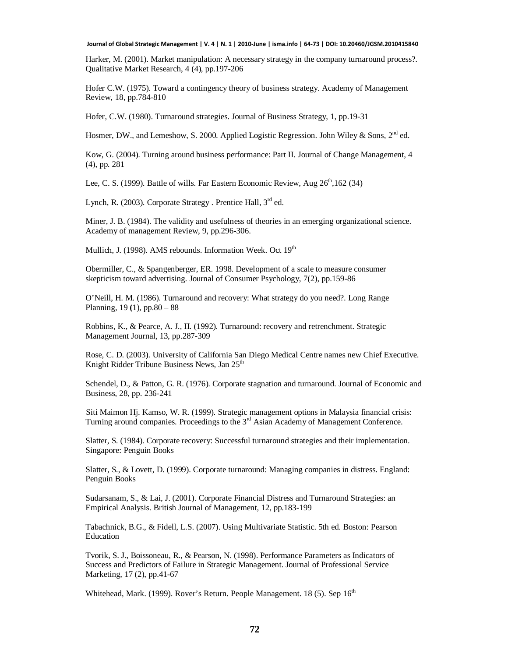Harker, M. (2001). Market manipulation: A necessary strategy in the company turnaround process?. Qualitative Market Research, 4 (4), pp.197-206

Hofer C.W. (1975). Toward a contingency theory of business strategy. Academy of Management Review, 18, pp.784-810

Hofer, C.W. (1980). Turnaround strategies. Journal of Business Strategy, 1, pp.19-31

Hosmer, DW., and Lemeshow, S. 2000. Applied Logistic Regression. John Wiley & Sons. 2<sup>nd</sup> ed.

Kow, G. (2004). Turning around business performance: Part II. Journal of Change Management, 4 (4), pp. 281

Lee, C. S. (1999). Battle of wills. Far Eastern Economic Review, Aug  $26<sup>th</sup>$ ,162 (34)

Lynch, R. (2003). Corporate Strategy . Prentice Hall, 3<sup>rd</sup> ed.

Miner, J. B. (1984). The validity and usefulness of theories in an emerging organizational science. Academy of management Review, 9, pp.296-306.

Mullich, J. (1998). AMS rebounds. Information Week. Oct 19<sup>th</sup>

Obermiller, C., & Spangenberger, ER. 1998. Development of a scale to measure consumer skepticism toward advertising. Journal of Consumer Psychology, 7(2), pp.159-86

O'Neill, H. M. (1986). Turnaround and recovery: What strategy do you need?. Long Range Planning, 19 **(**1), pp.80 – 88

Robbins, K., & Pearce, A. J., II. (1992). Turnaround: recovery and retrenchment. Strategic Management Journal, 13, pp.287-309

Rose, C. D. (2003). University of California San Diego Medical Centre names new Chief Executive. Knight Ridder Tribune Business News, Jan 25<sup>th</sup>

Schendel, D., & Patton, G. R. (1976). Corporate stagnation and turnaround. Journal of Economic and Business, 28, pp. 236-241

Siti Maimon Hj. Kamso, W. R. (1999). Strategic management options in Malaysia financial crisis: Turning around companies. Proceedings to the  $3<sup>rd</sup>$  Asian Academy of Management Conference.

Slatter, S. (1984). Corporate recovery: Successful turnaround strategies and their implementation. Singapore: Penguin Books

Slatter, S., & Lovett, D. (1999). Corporate turnaround: Managing companies in distress. England: Penguin Books

Sudarsanam, S., & Lai, J. (2001). Corporate Financial Distress and Turnaround Strategies: an Empirical Analysis. British Journal of Management, 12, pp.183-199

Tabachnick, B.G., & Fidell, L.S. (2007). Using Multivariate Statistic. 5th ed. Boston: Pearson Education

Tvorik, S. J., Boissoneau, R., & Pearson, N. (1998). Performance Parameters as Indicators of Success and Predictors of Failure in Strategic Management. Journal of Professional Service Marketing, 17 (2), pp.41-67

Whitehead, Mark. (1999). Rover's Return. People Management. 18 (5). Sep 16<sup>th</sup>